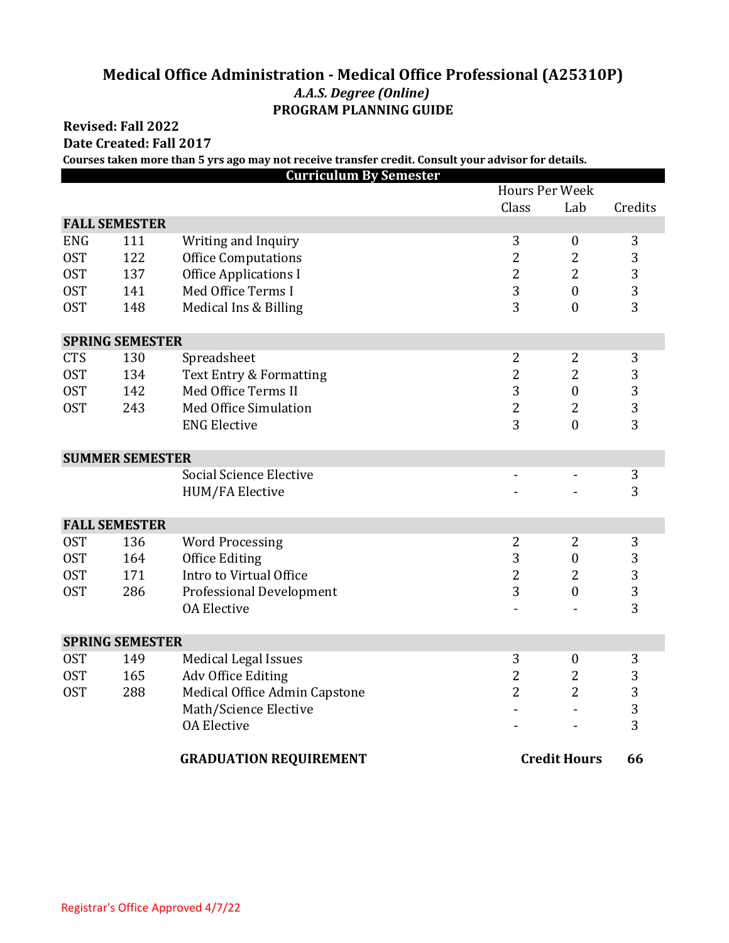## **Medical Office Administration - Medical Office Professional (A25310P)** *A.A.S. Degree (Online)* **PROGRAM PLANNING GUIDE**

## **Revised: Fall 2022**

**Date Created: Fall 2017**

**Courses taken more than 5 yrs ago may not receive transfer credit. Consult your advisor for details.**

| <b>Curriculum By Semester</b> |                      |                                    |                       |                  |         |  |  |  |  |  |
|-------------------------------|----------------------|------------------------------------|-----------------------|------------------|---------|--|--|--|--|--|
|                               |                      |                                    | <b>Hours Per Week</b> |                  |         |  |  |  |  |  |
|                               |                      |                                    | Class                 | Lab              | Credits |  |  |  |  |  |
|                               | <b>FALL SEMESTER</b> |                                    |                       |                  |         |  |  |  |  |  |
| <b>ENG</b>                    | 111                  | Writing and Inquiry                | 3                     | $\boldsymbol{0}$ | 3       |  |  |  |  |  |
| <b>OST</b>                    | 122                  | <b>Office Computations</b>         | $\overline{2}$        | $\overline{2}$   | 3       |  |  |  |  |  |
| <b>OST</b>                    | 137                  | <b>Office Applications I</b>       | $\overline{2}$        | $\overline{2}$   | 3       |  |  |  |  |  |
| <b>OST</b>                    | 141                  | Med Office Terms I                 | 3                     | $\mathbf{0}$     | 3       |  |  |  |  |  |
| <b>OST</b>                    | 148                  | Medical Ins & Billing              | 3                     | $\mathbf{0}$     | 3       |  |  |  |  |  |
| <b>SPRING SEMESTER</b>        |                      |                                    |                       |                  |         |  |  |  |  |  |
| <b>CTS</b>                    | 130                  | Spreadsheet                        | $\overline{2}$        | $\overline{2}$   | 3       |  |  |  |  |  |
| <b>OST</b>                    | 134                  | <b>Text Entry &amp; Formatting</b> | $\overline{c}$        | $\overline{2}$   | 3       |  |  |  |  |  |
| <b>OST</b>                    | 142                  | Med Office Terms II                | 3                     | $\boldsymbol{0}$ | 3       |  |  |  |  |  |
| <b>OST</b>                    | 243                  | <b>Med Office Simulation</b>       | $\overline{2}$        | $\overline{2}$   | 3       |  |  |  |  |  |
|                               |                      | <b>ENG Elective</b>                | 3                     | $\mathbf{0}$     | 3       |  |  |  |  |  |
| <b>SUMMER SEMESTER</b>        |                      |                                    |                       |                  |         |  |  |  |  |  |
|                               |                      | <b>Social Science Elective</b>     |                       |                  | 3       |  |  |  |  |  |
|                               |                      | <b>HUM/FA Elective</b>             |                       |                  | 3       |  |  |  |  |  |
| <b>FALL SEMESTER</b>          |                      |                                    |                       |                  |         |  |  |  |  |  |
| <b>OST</b>                    | 136                  | <b>Word Processing</b>             | 2                     | $\overline{2}$   | 3       |  |  |  |  |  |
| <b>OST</b>                    | 164                  | <b>Office Editing</b>              | 3                     | $\boldsymbol{0}$ | 3       |  |  |  |  |  |
| <b>OST</b>                    | 171                  | Intro to Virtual Office            | 2                     | $\overline{2}$   | 3       |  |  |  |  |  |
| <b>OST</b>                    | 286                  | <b>Professional Development</b>    | 3                     | $\mathbf{0}$     | 3       |  |  |  |  |  |
|                               |                      | <b>OA Elective</b>                 |                       |                  | 3       |  |  |  |  |  |
| <b>SPRING SEMESTER</b>        |                      |                                    |                       |                  |         |  |  |  |  |  |
| 0ST                           | 149                  | <b>Medical Legal Issues</b>        | 3                     | $\boldsymbol{0}$ | 3       |  |  |  |  |  |
| <b>OST</b>                    | 165                  | Adv Office Editing                 | $\overline{c}$        | 2                | 3       |  |  |  |  |  |
| <b>OST</b>                    | 288                  | Medical Office Admin Capstone      | $\overline{2}$        | $\overline{2}$   | 3       |  |  |  |  |  |
|                               |                      | Math/Science Elective              |                       |                  | 3       |  |  |  |  |  |
|                               |                      | <b>OA Elective</b>                 |                       |                  | 3       |  |  |  |  |  |
|                               |                      | <b>GRADUATION REQUIREMENT</b>      | <b>Credit Hours</b>   |                  | 66      |  |  |  |  |  |